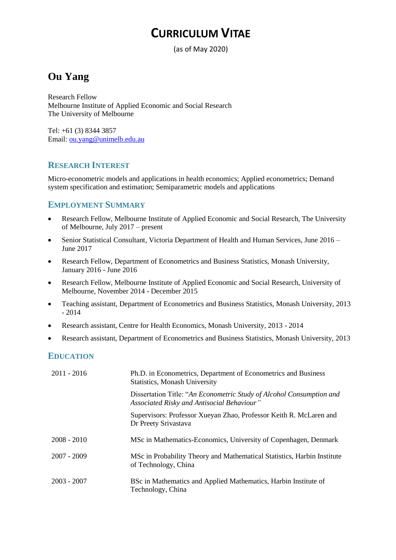# **CURRICULUM VITAE**

(as of May 2020)

## **Ou Yang**

Research Fellow Melbourne Institute of Applied Economic and Social Research The University of Melbourne

Tel: +61 (3) 8344 3857 Email: [ou.yang@unimelb.edu.au](mailto:ou.yang@unimelb.edu.au)

## **RESEARCH INTEREST**

Micro-econometric models and applications in health economics; Applied econometrics; Demand system specification and estimation; Semiparametric models and applications

## **EMPLOYMENT SUMMARY**

- Research Fellow, Melbourne Institute of Applied Economic and Social Research, The University of Melbourne, July 2017 – present
- Senior Statistical Consultant, Victoria Department of Health and Human Services, June 2016 June 2017
- Research Fellow, Department of Econometrics and Business Statistics, Monash University, January 2016 - June 2016
- Research Fellow, Melbourne Institute of Applied Economic and Social Research, University of Melbourne, November 2014 - December 2015
- Teaching assistant, Department of Econometrics and Business Statistics, Monash University, 2013 - 2014
- Research assistant, Centre for Health Economics, Monash University, 2013 2014
- Research assistant, Department of Econometrics and Business Statistics, Monash University, 2013

## **EDUCATION**

| $2011 - 2016$ | Ph.D. in Econometrics, Department of Econometrics and Business<br><b>Statistics, Monash University</b>             |
|---------------|--------------------------------------------------------------------------------------------------------------------|
|               | Dissertation Title: "An Econometric Study of Alcohol Consumption and<br>Associated Risky and Antisocial Behaviour" |
|               | Supervisors: Professor Xueyan Zhao, Professor Keith R. McLaren and<br>Dr Preety Srivastava                         |
| $2008 - 2010$ | MSc in Mathematics-Economics, University of Copenhagen, Denmark                                                    |
| $2007 - 2009$ | MSc in Probability Theory and Mathematical Statistics, Harbin Institute<br>of Technology, China                    |
| $2003 - 2007$ | BSc in Mathematics and Applied Mathematics, Harbin Institute of<br>Technology, China                               |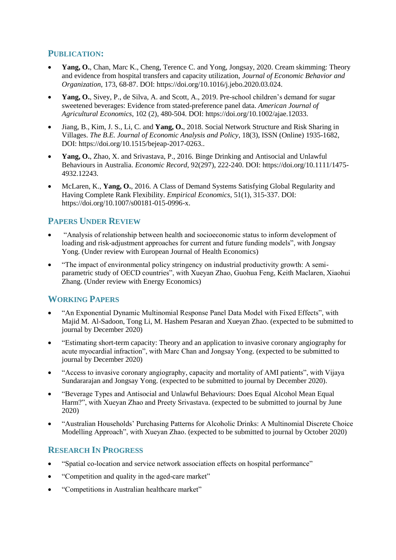## **PUBLICATION:**

- Yang, O., Chan, Marc K., Cheng, Terence C. and Yong, Jongsay, 2020. Cream skimming: Theory and evidence from hospital transfers and capacity utilization, *Journal of Economic Behavior and Organization*, 173, 68-87. DOI: https://doi.org/10.1016/j.jebo.2020.03.024.
- **Yang, O.**, Sivey, P., de Silva, A. and Scott, A., 2019. Pre-school children's demand for sugar sweetened beverages: Evidence from stated-preference panel data. *American Journal of Agricultural Economics*, 102 (2), 480-504. DOI: https://doi.org/10.1002/ajae.12033.
- Jiang, B., Kim, J. S., Li, C. and **Yang, O.**, 2018. Social Network Structure and Risk Sharing in Villages. *The B.E. Journal of Economic Analysis and Policy*, 18(3), ISSN (Online) 1935-1682, DOI: https://doi.org/10.1515/bejeap-2017-0263..
- **Yang, O.**, Zhao, X. and Srivastava, P., 2016. Binge Drinking and Antisocial and Unlawful Behaviours in Australia. *Economic Record*, 92(297), 222-240. DOI: https://doi.org/10.1111/1475- 4932.12243.
- McLaren, K., **Yang, O.**, 2016. A Class of Demand Systems Satisfying Global Regularity and Having Complete Rank Flexibility. *Empirical Economics*, 51(1), 315-337. DOI: https://doi.org/10.1007/s00181-015-0996-x.

## **PAPERS UNDER REVIEW**

- "Analysis of relationship between health and socioeconomic status to inform development of loading and risk-adjustment approaches for current and future funding models", with Jongsay Yong. (Under review with European Journal of Health Economics)
- "The impact of environmental policy stringency on industrial productivity growth: A semiparametric study of OECD countries", with Xueyan Zhao, Guohua Feng, Keith Maclaren, Xiaohui Zhang. (Under review with Energy Economics)

## **WORKING PAPERS**

- "An Exponential Dynamic Multinomial Response Panel Data Model with Fixed Effects", with Majid M. Al-Sadoon, Tong Li, M. Hashem Pesaran and Xueyan Zhao. (expected to be submitted to journal by December 2020)
- "Estimating short-term capacity: Theory and an application to invasive coronary angiography for acute myocardial infraction", with Marc Chan and Jongsay Yong. (expected to be submitted to journal by December 2020)
- "Access to invasive coronary angiography, capacity and mortality of AMI patients", with Vijaya Sundararajan and Jongsay Yong. (expected to be submitted to journal by December 2020).
- "Beverage Types and Antisocial and Unlawful Behaviours: Does Equal Alcohol Mean Equal Harm?", with Xueyan Zhao and Preety Srivastava. (expected to be submitted to journal by June 2020)
- "Australian Households' Purchasing Patterns for Alcoholic Drinks: A Multinomial Discrete Choice Modelling Approach", with Xueyan Zhao. (expected to be submitted to journal by October 2020)

## **RESEARCH IN PROGRESS**

- "Spatial co-location and service network association effects on hospital performance"
- "Competition and quality in the aged-care market"
- "Competitions in Australian healthcare market"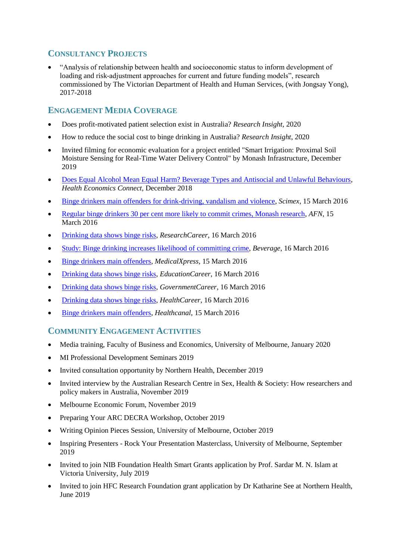## **CONSULTANCY PROJECTS**

 "Analysis of relationship between health and socioeconomic status to inform development of loading and risk-adjustment approaches for current and future funding models", research commissioned by The Victorian Department of Health and Human Services, (with Jongsay Yong), 2017-2018

## **ENGAGEMENT MEDIA COVERAGE**

- Does profit-motivated patient selection exist in Australia? *Research Insight*, 2020
- How to reduce the social cost to binge drinking in Australia? *Research Insight*, 2020
- Invited filming for economic evaluation for a project entitled "Smart Irrigation: Proximal Soil Moisture Sensing for Real-Time Water Delivery Control" by Monash Infrastructure, December 2019
- [Does Equal Alcohol Mean Equal Harm? Beverage Types and Antisocial and Unlawful Behaviours,](https://www.ahes.org.au/portfolio-items/the-cost-of-youth-suicide-in-australia-2/) *Health Economics Connect*, December 2018
- [Binge drinkers main offenders for drink-driving, vandalism and violence,](https://www.scimex.org/newsfeed/binge-drinkers-main-offenders-for-drink-driving,-vandalism-and-violence) *Scimex*, 15 March 2016
- [Regular binge drinkers 30 per cent more likely to commit crimes, Monash research,](http://ausfoodnews.com.au/2016/03/15/regular-binge-drinkers-30-per-cent-more-likely-to-commit-crimes-monash-research.html) *AFN*, 15 March 2016
- [Drinking data shows binge risks,](http://www.researchcareer.com.au/news/drinking-data-shows-binge-risks) *ResearchCareer*, 16 March 2016
- [Study: Binge drinking increases likelihood of](http://www.beveragedaily.com/Regulation-Safety/Study-Binge-drinking-increases-likelihood-of-committing-crime) committing crime, *Beverage*, 16 March 2016
- [Binge drinkers main offenders,](http://medicalxpress.com/news/2016-03-binge-drinkers-main.html) *MedicalXpress*, 15 March 2016
- [Drinking data shows binge risks,](http://www.educationcareer.net.au/news/drinking-data-shows-binge-risks) *EducationCareer*, 16 March 2016
- [Drinking data shows binge risks,](http://federal.governmentcareer.com.au/news/drinking-data-shows-binge-risks) *GovernmentCareer*, 16 March 2016
- [Drinking data shows binge risks,](http://www.healthcareer.net.au/news/drinking-data-shows-binge-risks) *HealthCareer*, 16 March 2016
- [Binge drinkers main offenders,](http://www.healthcanal.com/public-health-safety/71228-binge-drinkers-main-offenders.html) *Healthcanal*, 15 March 2016

## **COMMUNITY ENGAGEMENT ACTIVITIES**

- Media training, Faculty of Business and Economics, University of Melbourne, January 2020
- MI Professional Development Seminars 2019
- Invited consultation opportunity by Northern Health, December 2019
- Invited interview by the Australian Research Centre in Sex, Health & Society: How researchers and policy makers in Australia, November 2019
- Melbourne Economic Forum, November 2019
- Preparing Your ARC DECRA Workshop, October 2019
- Writing Opinion Pieces Session, University of Melbourne, October 2019
- Inspiring Presenters Rock Your Presentation Masterclass, University of Melbourne, September 2019
- Invited to join NIB Foundation Health Smart Grants application by Prof. Sardar M. N. Islam at Victoria University, July 2019
- Invited to join HFC Research Foundation grant application by Dr Katharine See at Northern Health, June 2019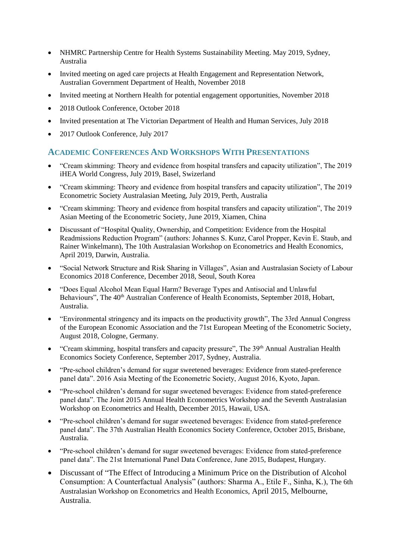- NHMRC Partnership Centre for Health Systems Sustainability Meeting. May 2019, Sydney, Australia
- Invited meeting on aged care projects at Health Engagement and Representation Network, Australian Government Department of Health, November 2018
- Invited meeting at Northern Health for potential engagement opportunities, November 2018
- 2018 Outlook Conference, October 2018
- Invited presentation at The Victorian Department of Health and Human Services, July 2018
- 2017 Outlook Conference, July 2017

#### **ACADEMIC CONFERENCES AND WORKSHOPS WITH PRESENTATIONS**

- "Cream skimming: Theory and evidence from hospital transfers and capacity utilization", The 2019 iHEA World Congress, July 2019, Basel, Swizerland
- "Cream skimming: Theory and evidence from hospital transfers and capacity utilization", The 2019 Econometric Society Australasian Meeting, July 2019, Perth, Australia
- "Cream skimming: Theory and evidence from hospital transfers and capacity utilization", The 2019 Asian Meeting of the Econometric Society, June 2019, Xiamen, China
- Discussant of "Hospital Quality, Ownership, and Competition: Evidence from the Hospital Readmissions Reduction Program" (authors: Johannes S. Kunz, Carol Propper, Kevin E. Staub, and Rainer Winkelmann), The 10th Australasian Workshop on Econometrics and Health Economics, April 2019, Darwin, Australia.
- "Social Network Structure and Risk Sharing in Villages", Asian and Australasian Society of Labour Economics 2018 Conference, December 2018, Seoul, South Korea
- "Does Equal Alcohol Mean Equal Harm? Beverage Types and Antisocial and Unlawful Behaviours", The 40<sup>th</sup> Australian Conference of Health Economists, September 2018, Hobart, Australia.
- "Environmental stringency and its impacts on the productivity growth", The 33rd Annual Congress of the European Economic Association and the 71st European Meeting of the Econometric Society, August 2018, Cologne, Germany.
- "Cream skimming, hospital transfers and capacity pressure", The 39<sup>th</sup> Annual Australian Health Economics Society Conference, September 2017, Sydney, Australia.
- "Pre-school children's demand for sugar sweetened beverages: Evidence from stated-preference panel data". 2016 Asia Meeting of the Econometric Society, August 2016, Kyoto, Japan.
- "Pre-school children's demand for sugar sweetened beverages: Evidence from stated-preference panel data". The Joint 2015 Annual Health Econometrics Workshop and the Seventh Australasian Workshop on Econometrics and Health, December 2015, Hawaii, USA.
- "Pre-school children's demand for sugar sweetened beverages: Evidence from stated-preference panel data". The 37th Australian Health Economics Society Conference, October 2015, Brisbane, Australia.
- "Pre-school children's demand for sugar sweetened beverages: Evidence from stated-preference panel data". The 21st International Panel Data Conference, June 2015, Budapest, Hungary.
- Discussant of "The Effect of Introducing a Minimum Price on the Distribution of Alcohol Consumption: A Counterfactual Analysis" (authors: Sharma A., Etile F., Sinha, K.), The 6th Australasian Workshop on Econometrics and Health Economics, April 2015, Melbourne, Australia.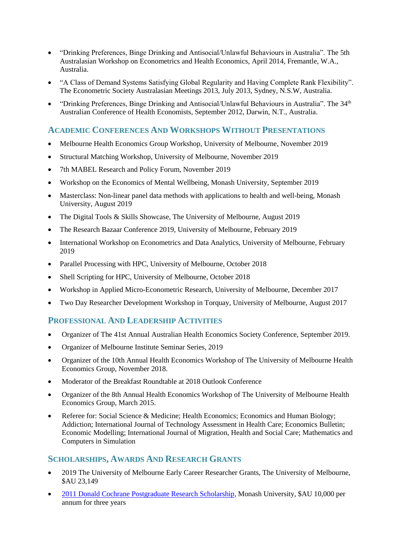- "Drinking Preferences, Binge Drinking and Antisocial/Unlawful Behaviours in Australia". The 5th Australasian Workshop on Econometrics and Health Economics, April 2014, Fremantle, W.A., Australia.
- "A Class of Demand Systems Satisfying Global Regularity and Having Complete Rank Flexibility". The Econometric Society Australasian Meetings 2013, July 2013, Sydney, N.S.W, Australia.
- "Drinking Preferences, Binge Drinking and Antisocial/Unlawful Behaviours in Australia". The 34<sup>th</sup> Australian Conference of Health Economists, September 2012, Darwin, N.T., Australia.

#### **ACADEMIC CONFERENCES AND WORKSHOPS WITHOUT PRESENTATIONS**

- Melbourne Health Economics Group Workshop, University of Melbourne, November 2019
- Structural Matching Workshop, University of Melbourne, November 2019
- 7th MABEL Research and Policy Forum, November 2019
- Workshop on the Economics of Mental Wellbeing, Monash University, September 2019
- Masterclass: Non-linear panel data methods with applications to health and well-being, Monash University, August 2019
- The Digital Tools & Skills Showcase, The University of Melbourne, August 2019
- The Research Bazaar Conference 2019, University of Melbourne, February 2019
- International Workshop on Econometrics and Data Analytics, University of Melbourne, February 2019
- Parallel Processing with HPC, University of Melbourne, October 2018
- Shell Scripting for HPC, University of Melbourne, October 2018
- Workshop in Applied Micro-Econometric Research, University of Melbourne, December 2017
- Two Day Researcher Development Workshop in Torquay, University of Melbourne, August 2017

## **PROFESSIONAL AND LEADERSHIP ACTIVITIES**

- Organizer of The 41st Annual Australian Health Economics Society Conference, September 2019.
- Organizer of Melbourne Institute Seminar Series, 2019
- Organizer of the 10th Annual Health Economics Workshop of The University of Melbourne Health Economics Group, November 2018.
- Moderator of the Breakfast Roundtable at 2018 Outlook Conference
- Organizer of the 8th Annual Health Economics Workshop of The University of Melbourne Health Economics Group, March 2015.
- Referee for: Social Science & Medicine; Health Economics; Economics and Human Biology; Addiction; International Journal of Technology Assessment in Health Care; Economics Bulletin; Economic Modelling; International Journal of Migration, Health and Social Care; Mathematics and Computers in Simulation

## **SCHOLARSHIPS, AWARDS AND RESEARCH GRANTS**

- 2019 The University of Melbourne Early Career Researcher Grants, The University of Melbourne, \$AU 23,149
- [2011 Donald Cochrane Postgraduate Research Scholarship,](http://www.monash.edu.au/news/show/cochrane-scholarships-awarded) Monash University, \$AU 10,000 per annum for three years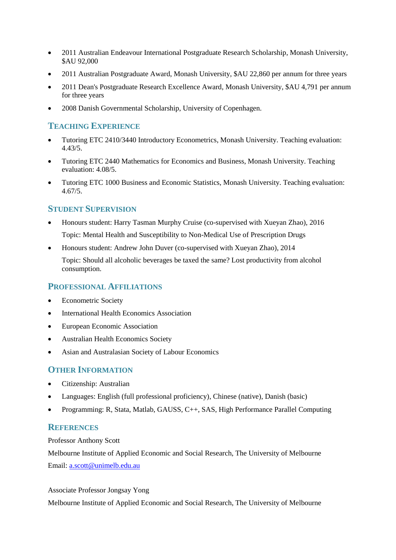- 2011 Australian Endeavour International Postgraduate Research Scholarship, Monash University, \$AU 92,000
- 2011 Australian Postgraduate Award, Monash University, \$AU 22,860 per annum for three years
- 2011 Dean's Postgraduate Research Excellence Award, Monash University, \$AU 4,791 per annum for three years
- 2008 Danish Governmental Scholarship, University of Copenhagen.

#### **TEACHING EXPERIENCE**

- Tutoring ETC 2410/3440 Introductory Econometrics, Monash University. Teaching evaluation: 4.43/5.
- Tutoring ETC 2440 Mathematics for Economics and Business, Monash University. Teaching evaluation: 4.08/5.
- Tutoring ETC 1000 Business and Economic Statistics, Monash University. Teaching evaluation: 4.67/5.

#### **STUDENT SUPERVISION**

- Honours student: Harry Tasman Murphy Cruise (co-supervised with Xueyan Zhao), 2016 Topic: Mental Health and Susceptibility to Non-Medical Use of Prescription Drugs
- Honours student: Andrew John Duver (co-supervised with Xueyan Zhao), 2014

Topic: Should all alcoholic beverages be taxed the same? Lost productivity from alcohol consumption.

#### **PROFESSIONAL AFFILIATIONS**

- Econometric Society
- International Health Economics Association
- European Economic Association
- Australian Health Economics Society
- Asian and Australasian Society of Labour Economics

## **OTHER INFORMATION**

- Citizenship: Australian
- Languages: English (full professional proficiency), Chinese (native), Danish (basic)
- Programming: R, Stata, Matlab, GAUSS, C++, SAS, High Performance Parallel Computing

#### **REFERENCES**

#### Professor Anthony Scott

Melbourne Institute of Applied Economic and Social Research, The University of Melbourne Email: [a.scott@unimelb.edu.au](mailto:a.scott@unimelb.edu.au)

#### Associate Professor Jongsay Yong

Melbourne Institute of Applied Economic and Social Research, The University of Melbourne